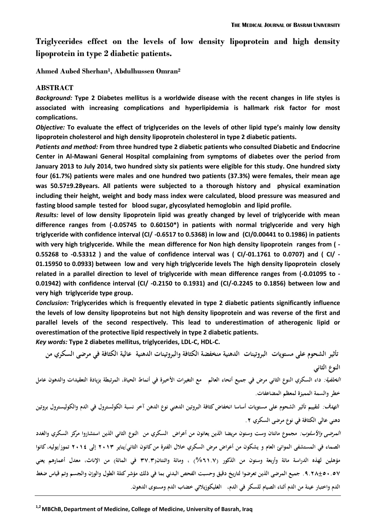**Triglycerides effect on the levels of low density lipoprotein and high density lipoprotein in type 2 diabetic patients.**

**Ahmed Aubed Sherhan<sup>1</sup> , Abdulhussen Omran<sup>2</sup>**

#### **ABSTRACT**

*Background:* **Type 2 Diabetes mellitus is a worldwide disease with the recent changes in life styles is associated with increasing complications and hyperlipidemia is hallmark risk factor for most complications.**

*Objective:* **To evaluate the effect of triglycerides on the levels of other lipid type's mainly low density lipoprotein cholesterol and high density lipoprotein cholesterol in type 2 diabetic patients.**

*Patients and method:* **From three hundred type 2 diabetic patients who consulted Diabetic and Endocrine Center in Al-Mawani General Hospital complaining from symptoms of diabetes over the period from January 2013 to July 2014, two hundred sixty six patients were eligible for this study. One hundred sixty four (61.7%) patients were males and one hundred two patients (37.3%) were females, their mean age was 50.57±9.28years. All patients were subjected to a thorough history and physical examination including their height, weight and body mass index were calculated, blood pressure was measured and fasting blood sample tested for blood sugar, glycosylated hemoglobin and lipid profile.**

*Results:* **level of low density lipoprotein lipid was greatly changed by level of triglyceride with mean difference ranges from (-0.05745 to 0.60150\*) in patients with normal triglyceride and very high triglyceride with confidence interval (CI/ -0.6517 to 0.5368) in low and (CI/0.00441 to 0.1986) in patients with very high triglyceride. While the mean difference for Non high density lipoprotein ranges from ( - 0.55268 to -0.53312 ) and the value of confidence interval was ( CI/-01.1761 to 0.0707) and ( CI/ - 01.15950 to 0.0933) between low and very high triglyceride levels The high density lipoprotein closely related in a parallel direction to level of triglyceride with mean difference ranges from (-0.01095 to - 0.01942) with confidence interval (CI/ -0.2150 to 0.1931) and (CI/-0.2245 to 0.1856) between low and very high triglyceride type group.**

*Conclusion:* **Triglycerides which is frequently elevated in type 2 diabetic patients significantly influence the levels of low density lipoproteins but not high density lipoprotein and was reverse of the first and parallel levels of the second respectively. This lead to underestimation of atherogenic lipid or overestimation of the protective lipid respectively in type 2 diabetic patients.**

*Key words:* **Type 2 diabetes mellitus, triglycerides, LDL-C, HDL-C.**

**تأثير الشحوم على مستويات البروتينات الدىنية منخفضة الكثافة و البروتينات الدىنية عالية الكثافة في مرضى السكري من النوع الثاني** 

**الخلفية: داء السكري النوع الثاني مرض في جميع أنحاء العالم مع التغيرات األخيرة في أنماط الحياة، المرتبطة بزيادة التعقيدات والدىون عامل خطر والسمة المميزة لمعظم المضاعفات.**

**الهدف: لتقييم تأثير الشحوم على مستويات أساسا انخفاض كثافة البروتين الدىني نوع الدىن آخر نسبة الكولسترول في الدم والكوليسترول بروتين دىني عالي الكثافة في نوع مرضى السكري .2**

**المرضى واألسلوب: مجموع مائتان وست وستون مر يضا الذين يعانون من أعراض السكري من النوع الثاني الذين استشاروا مركز السكري و الغدد الصماء في المستشفى الموانئ العام و يشكون من أعراض مرض السكري خالل الفترة من كانون الثاني/يناير 2102 إلى 2102 تموز/يوليو، كانوا مؤىلين لهذه الدراسة مائة وأربعة وستون من الذكور )%70.6( ، ومائة واثنتان)26.2 في المائة( من اإلناث، معدل أعمارىم يعني .8.29±01.06 جميع المرضى الذين تعرضوا لتاريخ دقيق وحسبت الفحص البدني بما في ذلك مؤشر كتلة الطول والوزن والجسم وتم قياس ضغط الدم واختبار عينة من الدم أثناء الصيام للسكر في الدم، الغليكوزيالتي خضاب الدم و مستوى الدىون.**

<sup>&</sup>lt;sup>1,2</sup> MBChB, Department of Medicine, College of Medicine, University of Basrah, Iraq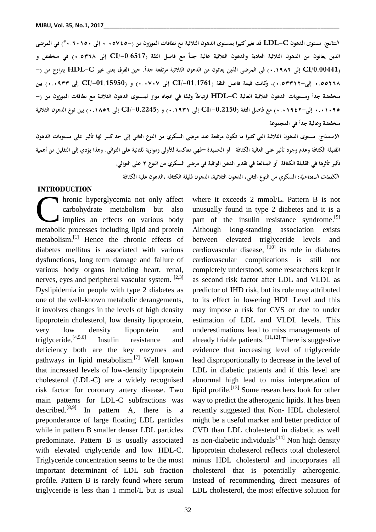**النتائج: مستوى الدىون C-LDL قد تغير كثيرا بمستوى الدىون الثالثية مع نطاقات الموزون من )1.10620- إلى 1.71001\*( في المرضى**  الذين يعانون من الدهون الثلاثية العادية والدهون الثلاثية عالية جداً مع فاصل الثقة (CI/-0.6517 إلى ٥٣٦٨.٠) في منخفض و (CI/0.00441 إلى ١٩٨٦.٠) في المرضى الذين يعانون من الدهون الثلاثية مرتفعة جداً. حين الفرق يعني غير HDL-C يتراوح من (– **1.00279 إلى1.02202-(، وكانت قيمة فاصل الثقة )/-01.1761CI إلى 1.1616( و )/-01.15950CI إلى 1.1822( بين**  منخفضة جداً ومستويات الدهون الثلاثية العالية HDL-C ارتباطاً وثيقاً في اتجاه مواز لمستوى الدهون الثلاثية مع نطاقات الموزون من (– **1.10180 إلى1.10822-( مع فاصل الثقة )/-0.2150CI إلى 1.0820( و )/-0.2245CI إلى 1.0907( بين نوع الدىون الثالثية ً في المجموعة منخفضة وعالية جدا**

**االستنتاج: مستوى الدىون الثالثية التي كثيرا ما تكون مرتفعة عند مرضى السكري من النوع الثاني إلى حد كبير لها تأثير على مستويات الدىون القليلة الكثافة وعدم وجود تأثير على العالية الكثافة أو الحميدة –فهي معاكسة لألولى وموازية للثانية على التوالي. و ىذا يؤدي إلى التقليل من أىمية تأثير تأثرىا في القليلة الكثافة أو المبالغة في تقدير الدىن الواقية في مرضى السكري من النوع 2 على التوالي. الكلمات المفتاحية: السكري من النوع الثاني، الدىون الثالثية، الدىون قليلة الكثافة ،الدىون علية الكثافة** 

### **INTRODUCTION**

hronic hyperglycemia not only affect carbohydrate metabolism but also implies an effects on various body hronic hyperglycemia not only affect<br>carbohydrate metabolism but also<br>implies an effects on various body<br>metabolic processes including lipid and protein metabolism.<sup>[1]</sup> Hence the chronic effects of diabetes mellitus is associated with various dysfunctions, long term damage and failure of various body organs including heart, renal, nerves, eyes and peripheral vascular system. [2,3] Dyslipidemia in people with type 2 diabetes as one of the well-known metabolic derangements, it involves changes in the levels of high density lipoprotein cholesterol, low density lipoprotein, very low density lipoprotein and triglyceride.<sup>[4,5,6]</sup> Insulin resistance and deficiency both are the key enzymes and pathways in lipid metabolism.<sup>[7]</sup> Well known that increased levels of low-density lipoprotein cholesterol (LDL-C) are a widely recognised risk factor for coronary artery disease. Two main patterns for LDL-C subfractions was described.<sup>[8,9]</sup> In pattern A, there is a preponderance of large floating LDL particles while in pattern B smaller denser LDL particles predominate. Pattern B is usually associated with elevated triglyceride and low HDL-C. Triglyceride concentration seems to be the most important determinant of LDL sub fraction profile. Pattern B is rarely found where serum triglyceride is less than 1 mmol/L but is usual

where it exceeds 2 mmol/L. Pattern B is not unusually found in type 2 diabetes and it is a part of the insulin resistance syndrome.<sup>[9]</sup> Although long-standing association exists between elevated triglyceride levels and cardiovascular disease,  $[10]$  its role in diabetes cardiovascular complications is still not completely understood, some researchers kept it as second risk factor after LDL and VLDL as predictor of IHD risk, but its role may attributed to its effect in lowering HDL Level and this may impose a risk for CVS or due to under estimation of LDL and VLDL levels. This underestimations lead to miss managements of already friable patients.  $[11, 12]$  There is suggestive evidence that increasing level of triglyceride lead disproportionally to decrease in the level of LDL in diabetic patients and if this level are abnormal high lead to miss interpretation of lipid profile.<sup>[13]</sup> Some researchers look for other way to predict the atherogenic lipids. It has been recently suggested that Non- HDL cholesterol might be a useful marker and better predictor of CVD than LDL cholesterol in diabetic as well as non-diabetic individuals<sup> $[14]$ </sup> Non high density lipoprotein cholesterol reflects total cholesterol minus HDL cholesterol and incorporates all cholesterol that is potentially atherogenic. Instead of recommending direct measures of LDL cholesterol, the most effective solution for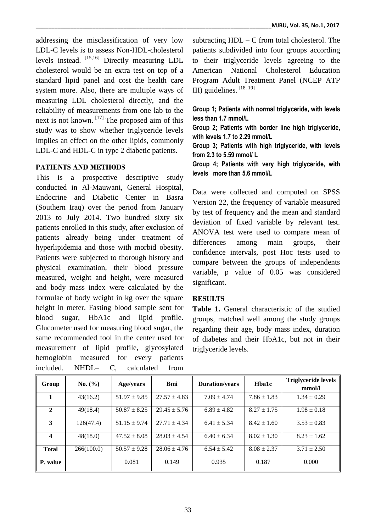addressing the misclassification of very low LDL-C levels is to assess Non-HDL-cholesterol levels instead. [15,16] Directly measuring LDL cholesterol would be an extra test on top of a standard lipid panel and cost the health care system more. Also, there are multiple ways of measuring LDL cholesterol directly, and the reliability of measurements from one lab to the next is not known. [17] The proposed aim of this study was to show whether triglyceride levels implies an effect on the other lipids, commonly LDL-C and HDL-C in type 2 diabetic patients.

# **PATIENTS AND METHODS**

This is a prospective descriptive study conducted in Al-Mauwani, General Hospital, Endocrine and Diabetic Center in Basra (Southern Iraq) over the period from January 2013 to July 2014. Two hundred sixty six patients enrolled in this study, after exclusion of patients already being under treatment of hyperlipidemia and those with morbid obesity. Patients were subjected to thorough history and physical examination, their blood pressure measured, weight and height, were measured and body mass index were calculated by the formulae of body weight in kg over the square height in meter. Fasting blood sample sent for blood sugar, HbA1c and lipid profile. Glucometer used for measuring blood sugar, the same recommended tool in the center used for measurement of lipid profile, glycosylated hemoglobin measured for every patients included. NHDL– C, calculated from

subtracting  $HDL - C$  from total cholesterol. The patients subdivided into four groups according to their triglyceride levels agreeing to the American National Cholesterol Education Program Adult Treatment Panel (NCEP ATP III) guidelines. [18, 19]

**Group 1; Patients with normal triglyceride, with levels less than 1.7 mmol/L**

**Group 2; Patients with border line high triglyceride, with levels 1.7 to 2.29 mmol/L**

**Group 3; Patients with high triglyceride, with levels from 2.3 to 5.59 mmol/ L**

**Group 4; Patients with very high triglyceride, with levels more than 5.6 mmol/L**

Data were collected and computed on SPSS Version 22, the frequency of variable measured by test of frequency and the mean and standard deviation of fixed variable by relevant test. ANOVA test were used to compare mean of differences among main groups, their confidence intervals, post Hoc tests used to compare between the groups of independents variable, p value of 0.05 was considered significant.

## **RESULTS**

**Table 1.** General characteristic of the studied groups, matched well among the study groups regarding their age, body mass index, duration of diabetes and their HbA1c, but not in their triglyceride levels.

| Group            | No. (%)    | <b>Age/years</b> | <b>Bmi</b>       | <b>Duration/years</b> | Hba1c           | <b>Triglyceride levels</b><br>mmol/l |
|------------------|------------|------------------|------------------|-----------------------|-----------------|--------------------------------------|
| 1                | 43(16.2)   | $51.97 \pm 9.85$ | $27.57 \pm 4.83$ | $7.09 \pm 4.74$       | $7.86 \pm 1.83$ | $1.34 \pm 0.29$                      |
| $\mathbf{2}$     | 49(18.4)   | $50.87 \pm 8.25$ | $29.45 \pm 5.76$ | $6.89 \pm 4.82$       | $8.27 \pm 1.75$ | $1.98 \pm 0.18$                      |
| 3                | 126(47.4)  | $51.15 \pm 9.74$ | $27.71 \pm 4.34$ | $6.41 \pm 5.34$       | $8.42 \pm 1.60$ | $3.53 \pm 0.83$                      |
| $\boldsymbol{4}$ | 48(18.0)   | $47.52 \pm 8.08$ | $28.03 \pm 4.54$ | $6.40 \pm 6.34$       | $8.02 \pm 1.30$ | $8.23 \pm 1.62$                      |
| <b>Total</b>     | 266(100.0) | $50.57 \pm 9.28$ | $28.06 \pm 4.76$ | $6.54 \pm 5.42$       | $8.08 \pm 2.37$ | $3.71 \pm 2.50$                      |
| P. value         |            | 0.081            | 0.149            | 0.935                 | 0.187           | 0.000                                |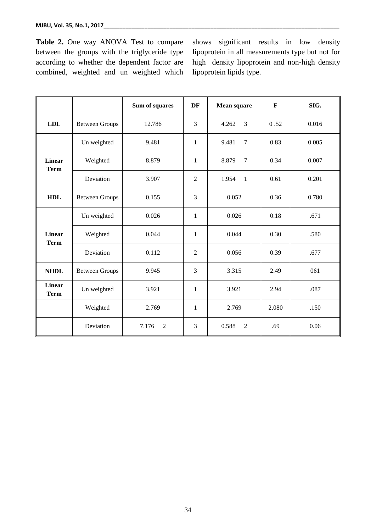**Table 2.** One way ANOVA Test to compare between the groups with the triglyceride type according to whether the dependent factor are combined, weighted and un weighted which shows significant results in low density lipoprotein in all measurements type but not for high density lipoprotein and non-high density lipoprotein lipids type.

|                              |                       | Sum of squares          | DF             | Mean square              | $\mathbf{F}$ | SIG.  |  |
|------------------------------|-----------------------|-------------------------|----------------|--------------------------|--------------|-------|--|
| <b>LDL</b>                   | <b>Between Groups</b> | 12.786                  | $\overline{3}$ | 4.262<br>3               | 0.52         | 0.016 |  |
|                              | Un weighted           | 9.481                   | $\mathbf{1}$   | 9.481<br>$\overline{7}$  | 0.83         | 0.005 |  |
| <b>Linear</b><br><b>Term</b> | Weighted              | 8.879                   | $\mathbf{1}$   | 8.879<br>$7\phantom{.0}$ | 0.34         | 0.007 |  |
|                              | Deviation             | 3.907                   | $\overline{2}$ | 1.954<br>$\mathbf{1}$    | 0.61         | 0.201 |  |
| <b>HDL</b>                   | <b>Between Groups</b> | 0.155                   | 3              | 0.052                    | 0.36         | 0.780 |  |
|                              | Un weighted           | 0.026                   | $\mathbf{1}$   | 0.026                    | 0.18         | .671  |  |
| <b>Linear</b><br><b>Term</b> | Weighted              | 0.044                   | $\mathbf{1}$   | 0.044                    | 0.30         | .580  |  |
|                              | Deviation             | 0.112                   | $\overline{2}$ | 0.056                    | 0.39         | .677  |  |
| <b>NHDL</b>                  | <b>Between Groups</b> | 9.945                   | 3              | 3.315                    | 2.49         | 061   |  |
| <b>Linear</b><br><b>Term</b> | Un weighted           | 3.921                   | $\mathbf{1}$   | 3.921                    | 2.94         | .087  |  |
|                              | Weighted              | 2.769                   | $\mathbf{1}$   | 2.769                    | 2.080        | .150  |  |
|                              | Deviation             | 7.176<br>$\overline{2}$ | 3              | 0.588<br>$\overline{2}$  | .69          | 0.06  |  |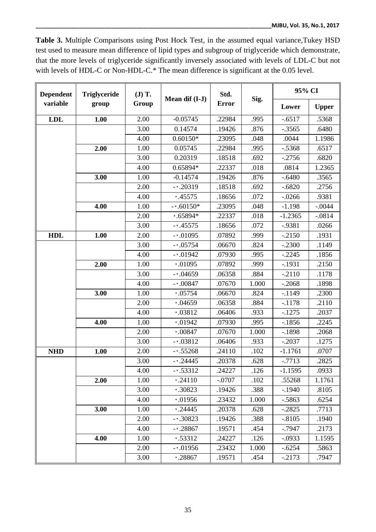**Table 3.** Multiple Comparisons using Post Hock Test, in the assumed equal variance,Tukey HSD test used to measure mean difference of lipid types and subgroup of triglyceride which demonstrate, that the more levels of triglyceride significantly inversely associated with levels of LDL-C but not with levels of HDL-C or Non-HDL-C.\* The mean difference is significant at the 0.05 level.

| <b>Dependent</b> | <b>Triglyceride</b><br>group | $J)$ T.<br>Group | Mean dif (I-J) | Std.<br><b>Error</b> | Sig.  | 95% CI    |              |
|------------------|------------------------------|------------------|----------------|----------------------|-------|-----------|--------------|
| variable         |                              |                  |                |                      |       | Lower     | <b>Upper</b> |
| <b>LDL</b>       | 1.00                         | 2.00             | $-0.05745$     | .22984               | .995  | $-.6517$  | .5368        |
|                  |                              | 3.00             | 0.14574        | .19426               | .876  | $-.3565$  | .6480        |
|                  |                              | 4.00             | $0.60150*$     | .23095               | .048  | .0044     | 1.1986       |
|                  | 2.00                         | 1.00             | 0.05745        | .22984               | .995  | $-.5368$  | .6517        |
|                  |                              | 3.00             | 0.20319        | .18518               | .692  | $-2756$   | .6820        |
|                  |                              | 4.00             | 0.65894*       | .22337               | .018  | .0814     | 1.2365       |
|                  | 3.00                         | 1.00             | $-0.14574$     | .19426               | .876  | $-.6480$  | .3565        |
|                  |                              | 2.00             | $-0.20319$     | .18518               | .692  | $-.6820$  | .2756        |
|                  |                              | 4.00             | .45575         | .18656               | .072  | $-.0266$  | .9381        |
|                  | 4.00                         | 1.00             | $-0.60150*$    | .23095               | .048  | $-1.198$  | $-.0044$     |
|                  |                              | 2.00             | $.65894*$      | .22337               | .018  | $-1.2365$ | $-.0814$     |
|                  |                              | 3.00             | $-45575$       | .18656               | .072  | $-0.9381$ | .0266        |
| <b>HDL</b>       | 1.00                         | 2.00             | $-0.01095$     | .07892               | .999  | $-2150$   | .1931        |
|                  |                              | 3.00             | $-05754$       | .06670               | .824  | $-.2300$  | .1149        |
|                  |                              | 4.00             | $-0.01942$     | .07930               | .995  | $-.2245$  | .1856        |
|                  | 2.00                         | 1.00             | .01095         | .07892               | .999  | $-.1931$  | .2150        |
|                  |                              | 3.00             | $-0.04659$     | .06358               | .884  | $-.2110$  | .1178        |
|                  |                              | 4.00             | $-0.00847$     | .07670               | 1.000 | $-.2068$  | .1898        |
|                  | 3.00                         | 1.00             | .05754         | .06670               | .824  | $-1149$   | .2300        |
|                  |                              | 2.00             | .04659         | .06358               | .884  | $-.1178$  | .2110        |
|                  |                              | 4.00             | .03812         | .06406               | .933  | $-1275$   | .2037        |
|                  | 4.00                         | 1.00             | .01942         | .07930               | .995  | $-1856$   | .2245        |
|                  |                              | 2.00             | .00847         | .07670               | 1.000 | $-1898$   | .2068        |
|                  |                              | 3.00             | $-0.03812$     | .06406               | .933  | $-.2037$  | .1275        |
| <b>NHD</b>       | 1.00                         | 2.00             | $-1.55268$     | .24110               | .102  | $-1.1761$ | .0707        |
|                  |                              | 3.00             | $-0.24445$     | .20378               | .628  | $-.7713$  | .2825        |
|                  |                              | 4.00             | $-0.53312$     | .24227               | .126  | $-1.1595$ | .0933        |
|                  | 2.00                         | 1.00             | .24110         | $-.0707$             | .102  | .55268    | 1.1761       |
|                  |                              | 3.00             | .30823         | .19426               | .388  | $-1940$   | .8105        |
|                  |                              | 4.00             | .01956         | .23432               | 1.000 | $-0.5863$ | .6254        |
|                  | 3.00                         | 1.00             | .24445         | .20378               | .628  | $-.2825$  | .7713        |
|                  |                              | 2.00             | $-0.30823$     | .19426               | .388  | $-.8105$  | .1940        |
|                  |                              | 4.00             | $-0.28867$     | .19571               | .454  | $-0.7947$ | .2173        |
|                  | 4.00                         | 1.00             | .53312         | .24227               | .126  | $-.0933$  | 1.1595       |
|                  |                              | 2.00             | $-0.01956$     | .23432               | 1.000 | $-.6254$  | .5863        |
|                  |                              | 3.00             | .28867         | .19571               | .454  | $-.2173$  | .7947        |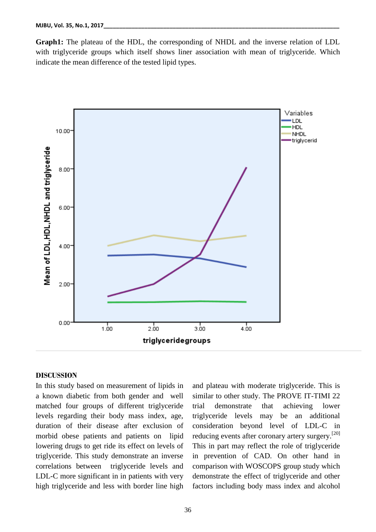**Graph1:** The plateau of the HDL, the corresponding of NHDL and the inverse relation of LDL with triglyceride groups which itself shows liner association with mean of triglyceride. Which indicate the mean difference of the tested lipid types.



#### **DISCUSSION**

In this study based on measurement of lipids in a known diabetic from both gender and well matched four groups of different triglyceride levels regarding their body mass index, age, duration of their disease after exclusion of morbid obese patients and patients on lipid lowering drugs to get ride its effect on levels of triglyceride. This study demonstrate an inverse correlations between triglyceride levels and LDL-C more significant in in patients with very high triglyceride and less with border line high

and plateau with moderate triglyceride. This is similar to other study. The PROVE IT-TIMI 22 trial demonstrate that achieving lower triglyceride levels may be an additional consideration beyond level of LDL-C in reducing events after coronary artery surgery.<sup>[20]</sup> This in part may reflect the role of triglyceride in prevention of CAD. On other hand in comparison with WOSCOPS group study which demonstrate the effect of triglyceride and other factors including body mass index and alcohol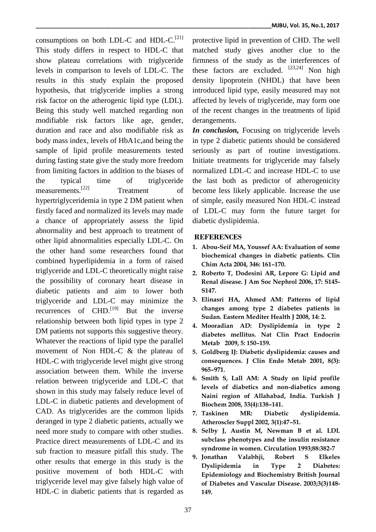consumptions on both LDL-C and HDL- $C$ .<sup>[21]</sup> This study differs in respect to HDL-C that show plateau correlations with triglyceride levels in comparison to levels of LDL-C. The results in this study explain the proposed hypothesis, that triglyceride implies a strong risk factor on the atherogenic lipid type (LDL). Being this study well matched regarding non modifiable risk factors like age, gender, duration and race and also modifiable risk as body mass index, levels of HbA1c,and being the sample of lipid profile measurements tested during fasting state give the study more freedom from limiting factors in addition to the biases of the typical time of triglyceride measurements. [22] Treatment of hypertriglyceridemia in type 2 DM patient when firstly faced and normalized its levels may made a chance of appropriately assess the lipid abnormality and best approach to treatment of other lipid abnormalities especially LDL-C. On the other hand some researchers found that combined hyperlipidemia in a form of raised triglyceride and LDL-C theoretically might raise the possibility of coronary heart disease in diabetic patients and aim to lower both triglyceride and LDL-C may minimize the recurrences of CHD.<sup>[19]</sup> But the inverse relationship between both lipid types in type 2 DM patients not supports this suggestive theory. Whatever the reactions of lipid type the parallel movement of Non HDL-C & the plateau of HDL-C with triglyceride level might give strong association between them. While the inverse relation between triglyceride and LDL-C that shown in this study may falsely reduce level of LDL-C in diabetic patients and development of CAD. As triglycerides are the common lipids deranged in type 2 diabetic patients, actually we need more study to compare with other studies. Practice direct measurements of LDL-C and its sub fraction to measure pitfall this study. The other results that emerge in this study is the positive movement of both HDL-C with triglyceride level may give falsely high value of HDL-C in diabetic patients that is regarded as

protective lipid in prevention of CHD. The well matched study gives another clue to the firmness of the study as the interferences of these factors are excluded.  $[23,24]$  Non high density lipoprotein (NHDL) that have been introduced lipid type, easily measured may not affected by levels of triglyceride, may form one of the recent changes in the treatments of lipid derangements.

*In conclusion,* Focusing on triglyceride levels in type 2 diabetic patients should be considered seriously as part of routine investigations. Initiate treatments for triglyceride may falsely normalized LDL-C and increase HDL-C to use the last both as predictor of atherogenicity become less likely applicable. Increase the use of simple, easily measured Non HDL-C instead of LDL-C may form the future target for diabetic dyslipidemia.

# **REFERENCES**

- **1. Abou-Seif MA, Youssef AA: Evaluation of some biochemical changes in diabetic patients. Clin Chim Acta 2004, 346: 161–170.**
- **2. Roberto T, Dodesini AR, Lepore G: Lipid and Renal disease. J Am Soc Nephrol 2006, 17: S145- S147.**
- **3. Elinasri HA, Ahmed AM: Patterns of lipid changes among type 2 diabetes patients in Sudan. Eastern Mediter Health J 2008, 14: 2.**
- **4. Mooradian AD: Dyslipidemia in type 2 diabetes mellitus. Nat Clin Pract Endocrin Metab 2009, 5: 150–159.**
- **5. Goldberg IJ: Diabetic dyslipidemia: causes and consequences. J Clin Endo Metab 2001, 8(3): 965–971.**
- **6. Smith S, Lall AM: A Study on lipid profile levels of diabetics and non-diabetics among Naini region of Allahabad, India. Turkish J Biochem 2008, 33(4):138–141.**
- **7. Taskinen MR: Diabetic dyslipidemia. Atheroscler Suppl 2002, 3(1):47–51.**
- **8. Selby J, Austin M, Newman B et al. LDL subclass phenotypes and the insulin resistance syndrome in women. Circulation 1993;88:382-7**
- **9. Jonathan Valabhji, Robert S Elkeles Dyslipidemia in Type 2 Diabetes: Epidemiology and Biochemistry British Journal of Diabetes and Vascular Disease. 2003;3(3)148- 149.**